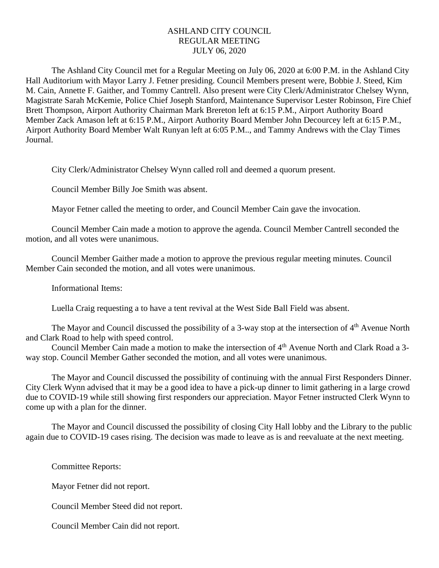## ASHLAND CITY COUNCIL REGULAR MEETING JULY 06, 2020

The Ashland City Council met for a Regular Meeting on July 06, 2020 at 6:00 P.M. in the Ashland City Hall Auditorium with Mayor Larry J. Fetner presiding. Council Members present were, Bobbie J. Steed, Kim M. Cain, Annette F. Gaither, and Tommy Cantrell. Also present were City Clerk/Administrator Chelsey Wynn, Magistrate Sarah McKemie, Police Chief Joseph Stanford, Maintenance Supervisor Lester Robinson, Fire Chief Brett Thompson, Airport Authority Chairman Mark Brereton left at 6:15 P.M., Airport Authority Board Member Zack Amason left at 6:15 P.M., Airport Authority Board Member John Decourcey left at 6:15 P.M., Airport Authority Board Member Walt Runyan left at 6:05 P.M.., and Tammy Andrews with the Clay Times Journal.

City Clerk/Administrator Chelsey Wynn called roll and deemed a quorum present.

Council Member Billy Joe Smith was absent.

Mayor Fetner called the meeting to order, and Council Member Cain gave the invocation.

Council Member Cain made a motion to approve the agenda. Council Member Cantrell seconded the motion, and all votes were unanimous.

Council Member Gaither made a motion to approve the previous regular meeting minutes. Council Member Cain seconded the motion, and all votes were unanimous.

Informational Items:

Luella Craig requesting a to have a tent revival at the West Side Ball Field was absent.

The Mayor and Council discussed the possibility of a 3-way stop at the intersection of  $4<sup>th</sup>$  Avenue North and Clark Road to help with speed control.

Council Member Cain made a motion to make the intersection of 4<sup>th</sup> Avenue North and Clark Road a 3way stop. Council Member Gather seconded the motion, and all votes were unanimous.

The Mayor and Council discussed the possibility of continuing with the annual First Responders Dinner. City Clerk Wynn advised that it may be a good idea to have a pick-up dinner to limit gathering in a large crowd due to COVID-19 while still showing first responders our appreciation. Mayor Fetner instructed Clerk Wynn to come up with a plan for the dinner.

The Mayor and Council discussed the possibility of closing City Hall lobby and the Library to the public again due to COVID-19 cases rising. The decision was made to leave as is and reevaluate at the next meeting.

Committee Reports:

Mayor Fetner did not report.

Council Member Steed did not report.

Council Member Cain did not report.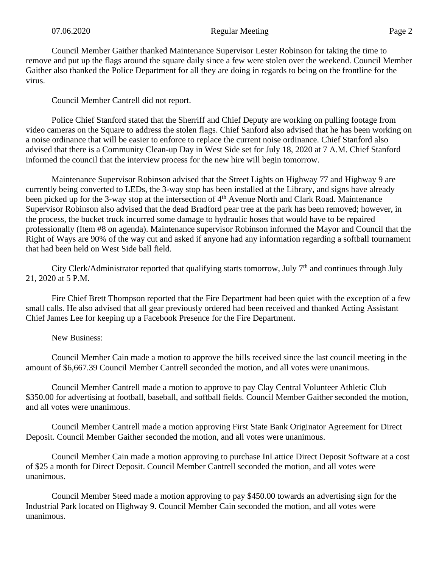Council Member Gaither thanked Maintenance Supervisor Lester Robinson for taking the time to remove and put up the flags around the square daily since a few were stolen over the weekend. Council Member Gaither also thanked the Police Department for all they are doing in regards to being on the frontline for the virus.

Council Member Cantrell did not report.

Police Chief Stanford stated that the Sherriff and Chief Deputy are working on pulling footage from video cameras on the Square to address the stolen flags. Chief Sanford also advised that he has been working on a noise ordinance that will be easier to enforce to replace the current noise ordinance. Chief Stanford also advised that there is a Community Clean-up Day in West Side set for July 18, 2020 at 7 A.M. Chief Stanford informed the council that the interview process for the new hire will begin tomorrow.

Maintenance Supervisor Robinson advised that the Street Lights on Highway 77 and Highway 9 are currently being converted to LEDs, the 3-way stop has been installed at the Library, and signs have already been picked up for the 3-way stop at the intersection of 4<sup>th</sup> Avenue North and Clark Road. Maintenance Supervisor Robinson also advised that the dead Bradford pear tree at the park has been removed; however, in the process, the bucket truck incurred some damage to hydraulic hoses that would have to be repaired professionally (Item #8 on agenda). Maintenance supervisor Robinson informed the Mayor and Council that the Right of Ways are 90% of the way cut and asked if anyone had any information regarding a softball tournament that had been held on West Side ball field.

City Clerk/Administrator reported that qualifying starts tomorrow, July  $7<sup>th</sup>$  and continues through July 21, 2020 at 5 P.M.

Fire Chief Brett Thompson reported that the Fire Department had been quiet with the exception of a few small calls. He also advised that all gear previously ordered had been received and thanked Acting Assistant Chief James Lee for keeping up a Facebook Presence for the Fire Department.

New Business:

Council Member Cain made a motion to approve the bills received since the last council meeting in the amount of \$6,667.39 Council Member Cantrell seconded the motion, and all votes were unanimous.

Council Member Cantrell made a motion to approve to pay Clay Central Volunteer Athletic Club \$350.00 for advertising at football, baseball, and softball fields. Council Member Gaither seconded the motion, and all votes were unanimous.

Council Member Cantrell made a motion approving First State Bank Originator Agreement for Direct Deposit. Council Member Gaither seconded the motion, and all votes were unanimous.

Council Member Cain made a motion approving to purchase InLattice Direct Deposit Software at a cost of \$25 a month for Direct Deposit. Council Member Cantrell seconded the motion, and all votes were unanimous.

Council Member Steed made a motion approving to pay \$450.00 towards an advertising sign for the Industrial Park located on Highway 9. Council Member Cain seconded the motion, and all votes were unanimous.